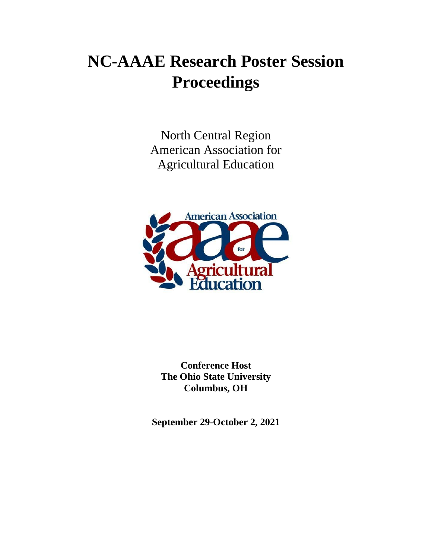# **NC-AAAE Research Poster Session Proceedings**

North Central Region American Association for Agricultural Education



**Conference Host The Ohio State University Columbus, OH**

**September 29-October 2, 2021**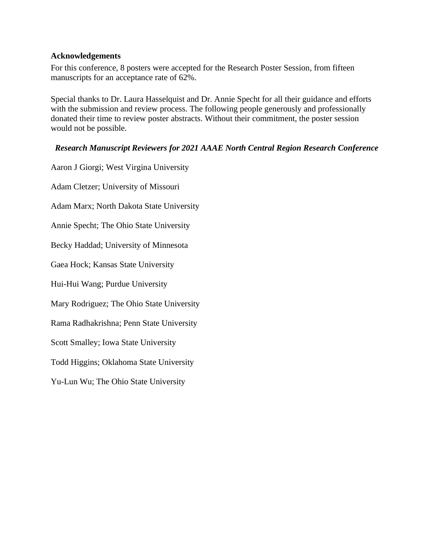## **Acknowledgements**

For this conference, 8 posters were accepted for the Research Poster Session, from fifteen manuscripts for an acceptance rate of 62%.

Special thanks to Dr. Laura Hasselquist and Dr. Annie Specht for all their guidance and efforts with the submission and review process. The following people generously and professionally donated their time to review poster abstracts. Without their commitment, the poster session would not be possible.

## *Research Manuscript Reviewers for 2021 AAAE North Central Region Research Conference*

Aaron J Giorgi; West Virgina University Adam Cletzer; University of Missouri Adam Marx; North Dakota State University Annie Specht; The Ohio State University Becky Haddad; University of Minnesota Gaea Hock; Kansas State University Hui-Hui Wang; Purdue University Mary Rodriguez; The Ohio State University Rama Radhakrishna; Penn State University Scott Smalley; Iowa State University Todd Higgins; Oklahoma State University Yu-Lun Wu; The Ohio State University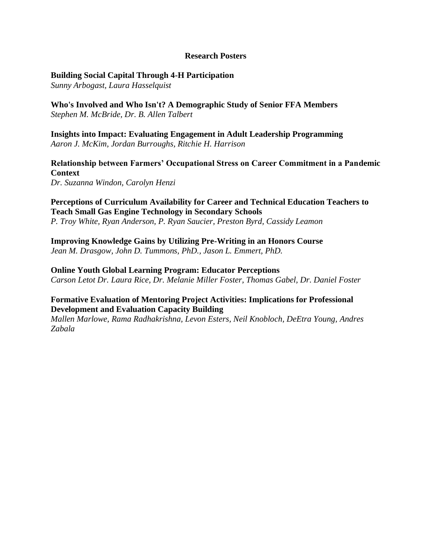## **Research Posters**

## **[Building Social Capital Through 4-H Participation](#page-3-0)**

*Sunny Arbogast, Laura Hasselquist*

**[Who's Involved and Who Isn't? A Demographic Study of Senior FFA Members](#page-6-0)** *Stephen M. McBride, Dr. B. Allen Talbert*

**[Insights into Impact: Evaluating Engagement in Adult Leadership Programming](#page-10-0)** *Aaron J. McKim, Jordan Burroughs, Ritchie H. Harrison*

**[Relationship between Farmers' Occupational Stress on Career Commitment in a Pandemic](#page-17-0) Context**

*Dr. Suzanna Windon, Carolyn Henzi*

**[Perceptions of Curriculum Availability for Career and Technical Education Teachers to](#page-20-0)  Teach Small Gas Engine Technology in Secondary Schools** *P. Troy White, Ryan Anderson, P. Ryan Saucier, Preston Byrd, Cassidy Leamon*

**[Improving Knowledge Gains by Utilizing Pre-Writing in an Honors Course](#page-25-0)** *Jean M. Drasgow, John D. Tummons, PhD., Jason L. Emmert, PhD.*

**Online Youth Global Learning Program: Educator Perceptions** *Carson Letot Dr. Laura Rice, Dr. Melanie Miller Foster, Thomas Gabel, Dr. Daniel Foster*

# **[Formative Evaluation of Mentoring Project Activities: Implications for Professional](#page-27-0)  Development and Evaluation Capacity Building**

*Mallen Marlowe, Rama Radhakrishna, Levon Esters, Neil Knobloch, DeEtra Young, Andres Zabala*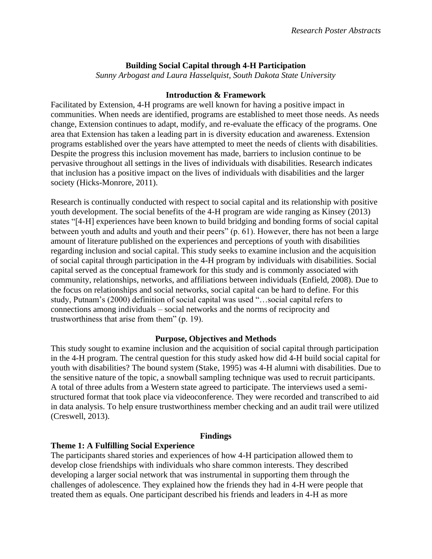# **Building Social Capital through 4-H Participation**

*Sunny Arbogast and Laura Hasselquist, South Dakota State University*

## **Introduction & Framework**

<span id="page-3-0"></span>Facilitated by Extension, 4-H programs are well known for having a positive impact in communities. When needs are identified, programs are established to meet those needs. As needs change, Extension continues to adapt, modify, and re-evaluate the efficacy of the programs. One area that Extension has taken a leading part in is diversity education and awareness. Extension programs established over the years have attempted to meet the needs of clients with disabilities. Despite the progress this inclusion movement has made, barriers to inclusion continue to be pervasive throughout all settings in the lives of individuals with disabilities. Research indicates that inclusion has a positive impact on the lives of individuals with disabilities and the larger society (Hicks-Monrore, 2011).

Research is continually conducted with respect to social capital and its relationship with positive youth development. The social benefits of the 4-H program are wide ranging as Kinsey (2013) states "[4-H] experiences have been known to build bridging and bonding forms of social capital between youth and adults and youth and their peers" (p. 61). However, there has not been a large amount of literature published on the experiences and perceptions of youth with disabilities regarding inclusion and social capital. This study seeks to examine inclusion and the acquisition of social capital through participation in the 4-H program by individuals with disabilities. Social capital served as the conceptual framework for this study and is commonly associated with community, relationships, networks, and affiliations between individuals (Enfield, 2008). Due to the focus on relationships and social networks, social capital can be hard to define. For this study, Putnam's (2000) definition of social capital was used "…social capital refers to connections among individuals – social networks and the norms of reciprocity and trustworthiness that arise from them" (p. 19).

## **Purpose, Objectives and Methods**

This study sought to examine inclusion and the acquisition of social capital through participation in the 4-H program. The central question for this study asked how did 4-H build social capital for youth with disabilities? The bound system (Stake, 1995) was 4-H alumni with disabilities. Due to the sensitive nature of the topic, a snowball sampling technique was used to recruit participants. A total of three adults from a Western state agreed to participate. The interviews used a semistructured format that took place via videoconference. They were recorded and transcribed to aid in data analysis. To help ensure trustworthiness member checking and an audit trail were utilized (Creswell, 2013).

## **Findings**

## **Theme 1: A Fulfilling Social Experience**

The participants shared stories and experiences of how 4-H participation allowed them to develop close friendships with individuals who share common interests. They described developing a larger social network that was instrumental in supporting them through the challenges of adolescence. They explained how the friends they had in 4-H were people that treated them as equals. One participant described his friends and leaders in 4-H as more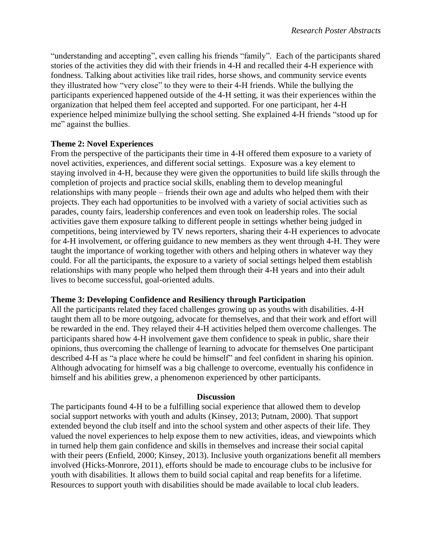"understanding and accepting", even calling his friends "family". Each of the participants shared stories of the activities they did with their friends in 4-H and recalled their 4-H experience with fondness. Talking about activities like trail rides, horse shows, and community service events they illustrated how "very close" to they were to their 4-H friends. While the bullying the participants experienced happened outside of the 4-H setting, it was their experiences within the organization that helped them feel accepted and supported. For one participant, her 4-H experience helped minimize bullying the school setting. She explained 4-H friends "stood up for me" against the bullies.

## **Theme 2: Novel Experiences**

From the perspective of the participants their time in 4-H offered them exposure to a variety of novel activities, experiences, and different social settings. Exposure was a key element to staying involved in 4-H, because they were given the opportunities to build life skills through the completion of projects and practice social skills, enabling them to develop meaningful relationships with many people – friends their own age and adults who helped them with their projects. They each had opportunities to be involved with a variety of social activities such as parades, county fairs, leadership conferences and even took on leadership roles. The social activities gave them exposure talking to different people in settings whether being judged in competitions, being interviewed by TV news reporters, sharing their 4-H experiences to advocate for 4-H involvement, or offering guidance to new members as they went through 4-H. They were taught the importance of working together with others and helping others in whatever way they could. For all the participants, the exposure to a variety of social settings helped them establish relationships with many people who helped them through their 4-H years and into their adult lives to become successful, goal-oriented adults.

# **Theme 3: Developing Confidence and Resiliency through Participation**

All the participants related they faced challenges growing up as youths with disabilities. 4-H taught them all to be more outgoing, advocate for themselves, and that their work and effort will be rewarded in the end. They relayed their 4-H activities helped them overcome challenges. The participants shared how 4-H involvement gave them confidence to speak in public, share their opinions, thus overcoming the challenge of learning to advocate for themselves One participant described 4-H as "a place where he could be himself" and feel confident in sharing his opinion. Although advocating for himself was a big challenge to overcome, eventually his confidence in himself and his abilities grew, a phenomenon experienced by other participants.

## **Discussion**

The participants found 4-H to be a fulfilling social experience that allowed them to develop social support networks with youth and adults (Kinsey, 2013; Putnam, 2000). That support extended beyond the club itself and into the school system and other aspects of their life. They valued the novel experiences to help expose them to new activities, ideas, and viewpoints which in turned help them gain confidence and skills in themselves and increase their social capital with their peers (Enfield, 2000; Kinsey, 2013). Inclusive youth organizations benefit all members involved (Hicks-Monrore, 2011), efforts should be made to encourage clubs to be inclusive for youth with disabilities. It allows them to build social capital and reap benefits for a lifetime. Resources to support youth with disabilities should be made available to local club leaders.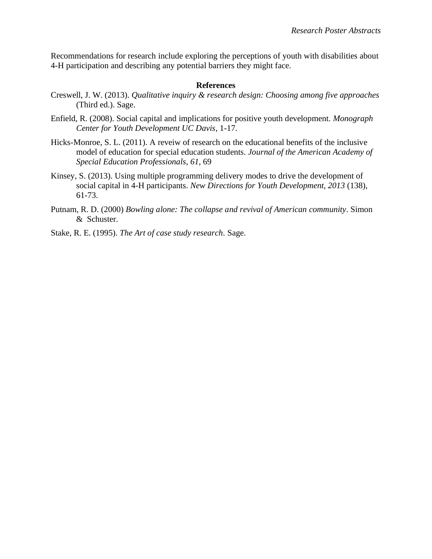Recommendations for research include exploring the perceptions of youth with disabilities about 4-H participation and describing any potential barriers they might face.

## **References**

- Creswell, J. W. (2013). *Qualitative inquiry & research design: Choosing among five approaches* (Third ed.). Sage.
- Enfield, R. (2008). Social capital and implications for positive youth development*. Monograph Center for Youth Development UC Davis*, 1-17.
- Hicks-Monroe, S. L. (2011). A reveiw of research on the educational benefits of the inclusive model of education for special education students. *Journal of the American Academy of Special Education Professionals*, *61*, 69
- Kinsey, S. (2013). Using multiple programming delivery modes to drive the development of social capital in 4-H participants. *New Directions for Youth Development, 2013* (138), 61-73.
- Putnam, R. D. (2000) *Bowling alone: The collapse and revival of American community*. Simon & Schuster.
- Stake, R. E. (1995). *The Art of case study research*. Sage.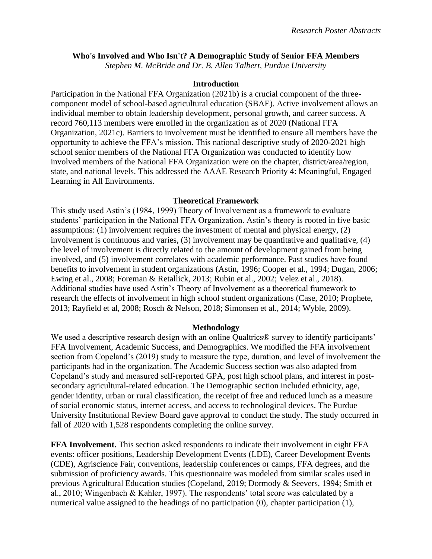### <span id="page-6-0"></span>**Who's Involved and Who Isn't? A Demographic Study of Senior FFA Members**

*Stephen M. McBride and Dr. B. Allen Talbert, Purdue University*

#### **Introduction**

Participation in the National FFA Organization (2021b) is a crucial component of the threecomponent model of school-based agricultural education (SBAE). Active involvement allows an individual member to obtain leadership development, personal growth, and career success. A record 760,113 members were enrolled in the organization as of 2020 (National FFA Organization, 2021c). Barriers to involvement must be identified to ensure all members have the opportunity to achieve the FFA's mission. This national descriptive study of 2020-2021 high school senior members of the National FFA Organization was conducted to identify how involved members of the National FFA Organization were on the chapter, district/area/region, state, and national levels. This addressed the AAAE Research Priority 4: Meaningful, Engaged Learning in All Environments.

#### **Theoretical Framework**

This study used Astin's (1984, 1999) Theory of Involvement as a framework to evaluate students' participation in the National FFA Organization. Astin's theory is rooted in five basic assumptions: (1) involvement requires the investment of mental and physical energy, (2) involvement is continuous and varies, (3) involvement may be quantitative and qualitative, (4) the level of involvement is directly related to the amount of development gained from being involved, and (5) involvement correlates with academic performance. Past studies have found benefits to involvement in student organizations (Astin, 1996; Cooper et al., 1994; Dugan, 2006; Ewing et al., 2008; Foreman & Retallick, 2013; Rubin et al., 2002; Velez et al., 2018). Additional studies have used Astin's Theory of Involvement as a theoretical framework to research the effects of involvement in high school student organizations (Case, 2010; Prophete, 2013; Rayfield et al, 2008; Rosch & Nelson, 2018; Simonsen et al., 2014; Wyble, 2009).

## **Methodology**

We used a descriptive research design with an online Qualtrics® survey to identify participants' FFA Involvement, Academic Success, and Demographics. We modified the FFA involvement section from Copeland's (2019) study to measure the type, duration, and level of involvement the participants had in the organization. The Academic Success section was also adapted from Copeland's study and measured self-reported GPA, post high school plans, and interest in postsecondary agricultural-related education. The Demographic section included ethnicity, age, gender identity, urban or rural classification, the receipt of free and reduced lunch as a measure of social economic status, internet access, and access to technological devices. The Purdue University Institutional Review Board gave approval to conduct the study. The study occurred in fall of 2020 with 1,528 respondents completing the online survey.

**FFA Involvement.** This section asked respondents to indicate their involvement in eight FFA events: officer positions, Leadership Development Events (LDE), Career Development Events (CDE), Agriscience Fair, conventions, leadership conferences or camps, FFA degrees, and the submission of proficiency awards. This questionnaire was modeled from similar scales used in previous Agricultural Education studies (Copeland, 2019; Dormody & Seevers, 1994; Smith et al., 2010; Wingenbach & Kahler, 1997). The respondents' total score was calculated by a numerical value assigned to the headings of no participation (0), chapter participation (1),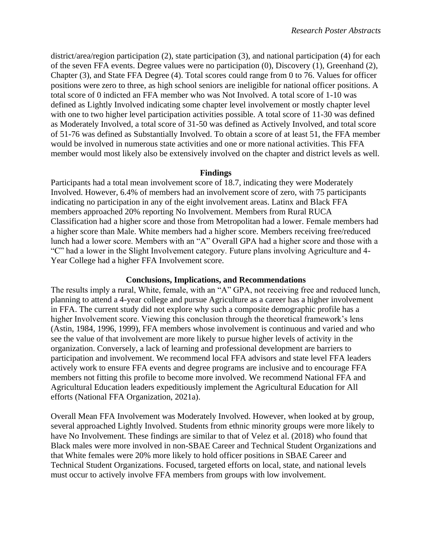district/area/region participation (2), state participation (3), and national participation (4) for each of the seven FFA events. Degree values were no participation (0), Discovery (1), Greenhand (2), Chapter (3), and State FFA Degree (4). Total scores could range from 0 to 76. Values for officer positions were zero to three, as high school seniors are ineligible for national officer positions. A total score of 0 indicted an FFA member who was Not Involved. A total score of 1-10 was defined as Lightly Involved indicating some chapter level involvement or mostly chapter level with one to two higher level participation activities possible. A total score of 11-30 was defined as Moderately Involved, a total score of 31-50 was defined as Actively Involved, and total score of 51-76 was defined as Substantially Involved. To obtain a score of at least 51, the FFA member would be involved in numerous state activities and one or more national activities. This FFA member would most likely also be extensively involved on the chapter and district levels as well.

#### **Findings**

Participants had a total mean involvement score of 18.7, indicating they were Moderately Involved. However, 6.4% of members had an involvement score of zero, with 75 participants indicating no participation in any of the eight involvement areas. Latinx and Black FFA members approached 20% reporting No Involvement. Members from Rural RUCA Classification had a higher score and those from Metropolitan had a lower. Female members had a higher score than Male. White members had a higher score. Members receiving free/reduced lunch had a lower score. Members with an "A" Overall GPA had a higher score and those with a "C" had a lower in the Slight Involvement category. Future plans involving Agriculture and 4- Year College had a higher FFA Involvement score.

#### **Conclusions, Implications, and Recommendations**

The results imply a rural, White, female, with an "A" GPA, not receiving free and reduced lunch, planning to attend a 4-year college and pursue Agriculture as a career has a higher involvement in FFA. The current study did not explore why such a composite demographic profile has a higher Involvement score. Viewing this conclusion through the theoretical framework's lens (Astin, 1984, 1996, 1999), FFA members whose involvement is continuous and varied and who see the value of that involvement are more likely to pursue higher levels of activity in the organization. Conversely, a lack of learning and professional development are barriers to participation and involvement. We recommend local FFA advisors and state level FFA leaders actively work to ensure FFA events and degree programs are inclusive and to encourage FFA members not fitting this profile to become more involved. We recommend National FFA and Agricultural Education leaders expeditiously implement the Agricultural Education for All efforts (National FFA Organization, 2021a).

Overall Mean FFA Involvement was Moderately Involved. However, when looked at by group, several approached Lightly Involved. Students from ethnic minority groups were more likely to have No Involvement. These findings are similar to that of Velez et al. (2018) who found that Black males were more involved in non-SBAE Career and Technical Student Organizations and that White females were 20% more likely to hold officer positions in SBAE Career and Technical Student Organizations. Focused, targeted efforts on local, state, and national levels must occur to actively involve FFA members from groups with low involvement.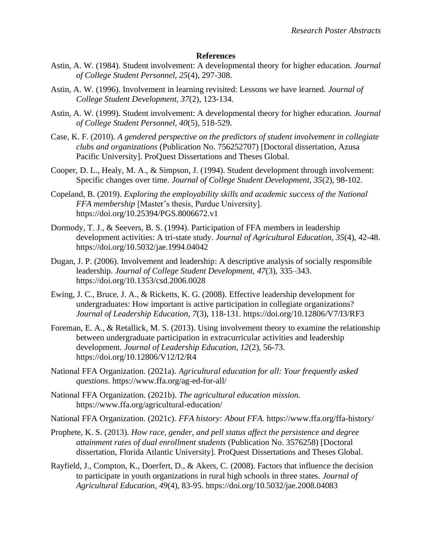#### **References**

- Astin, A. W. (1984). Student involvement: A developmental theory for higher education. *Journal of College Student Personnel, 25*(4), 297-308.
- Astin, A. W. (1996). Involvement in learning revisited: Lessons we have learned. *Journal of College Student Development, 37*(2), 123-134.
- Astin, A. W. (1999). Student involvement: A developmental theory for higher education. *Journal of College Student Personnel, 40*(5), 518-529.
- Case, K. F. (2010). *A gendered perspective on the predictors of student involvement in collegiate clubs and organizations* (Publication No. 756252707) [Doctoral dissertation, Azusa Pacific University]. ProQuest Dissertations and Theses Global.
- Cooper, D. L., Healy, M. A., & Simpson, J. (1994). Student development through involvement: Specific changes over time. *Journal of College Student Development, 35*(2), 98-102.
- Copeland, B. (2019). *Exploring the employability skills and academic success of the National FFA membership* [Master's thesis, Purdue University]. https://doi.org/10.25394/PGS.8006672.v1
- Dormody, T. J., & Seevers, B. S. (1994). Participation of FFA members in leadership development activities: A tri-state study. *Journal of Agricultural Education, 35*(4), 42-48. https://doi.org/10.5032/jae.1994.04042
- Dugan, J. P. (2006). Involvement and leadership: A descriptive analysis of socially responsible leadership. *Journal of College Student Development, 47*(3), 335–343. https://doi.org/10.1353/csd.2006.0028
- Ewing, J. C., Bruce, J. A., & Ricketts, K. G. (2008). Effective leadership development for undergraduates: How important is active participation in collegiate organizations? *Journal of Leadership Education, 7*(3), 118-131. https://doi.org/10.12806/V7/I3/RF3
- Foreman, E. A., & Retallick, M. S. (2013). Using involvement theory to examine the relationship between undergraduate participation in extracurricular activities and leadership development. *Journal of Leadership Education, 12*(2), 56-73. https://doi.org/10.12806/V12/I2/R4
- National FFA Organization. (2021a). *Agricultural education for all: Your frequently asked questions.* https://www.ffa.org/ag-ed-for-all/
- National FFA Organization. (2021b). *The agricultural education mission.*  https://www.ffa.org/agricultural-education/
- National FFA Organization. (2021c). *FFA history: About FFA.* https://www.ffa.org/ffa-history/
- Prophete, K. S. (2013). *How race, gender, and pell status affect the persistence and degree attainment rates of dual enrollment students* (Publication No. 3576258) [Doctoral dissertation, Florida Atlantic University]. ProQuest Dissertations and Theses Global.
- Rayfield, J., Compton, K., Doerfert, D., & Akers, C. (2008). Factors that influence the decision to participate in youth organizations in rural high schools in three states. *Journal of Agricultural Education*, *49*(4), 83-95. https://doi.org/10.5032/jae.2008.04083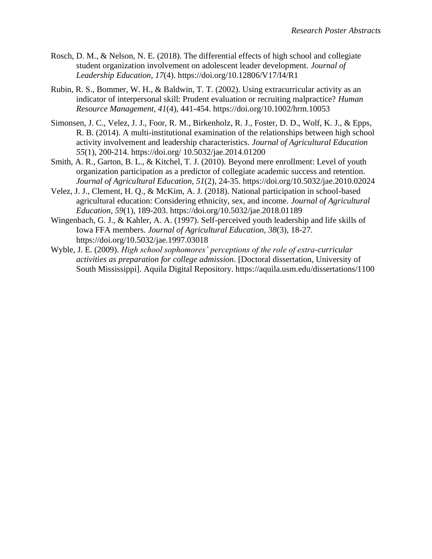- Rosch, D. M., & Nelson, N. E. (2018). The differential effects of high school and collegiate student organization involvement on adolescent leader development. *Journal of Leadership Education*, *17*(4). https://doi.org/10.12806/V17/I4/R1
- Rubin, R. S., Bommer, W. H., & Baldwin, T. T. (2002). Using extracurricular activity as an indicator of interpersonal skill: Prudent evaluation or recruiting malpractice? *Human Resource Management, 41*(4), 441-454. https://doi.org/10.1002/hrm.10053
- Simonsen, J. C., Velez, J. J., Foor, R. M., Birkenholz, R. J., Foster, D. D., Wolf, K. J., & Epps, R. B. (2014). A multi-institutional examination of the relationships between high school activity involvement and leadership characteristics. *Journal of Agricultural Education 55*(1), 200-214. https://doi.org/ 10.5032/jae.2014.01200
- Smith, A. R., Garton, B. L., & Kitchel, T. J. (2010). Beyond mere enrollment: Level of youth organization participation as a predictor of collegiate academic success and retention. *Journal of Agricultural Education, 51*(2), 24-35. https://doi.org/10.5032/jae.2010.02024
- Velez, J. J., Clement, H. Q., & McKim, A. J. (2018). National participation in school-based agricultural education: Considering ethnicity, sex, and income. *Journal of Agricultural Education, 59*(1), 189-203. https://doi.org/10.5032/jae.2018.01189
- Wingenbach, G. J., & Kahler, A. A. (1997). Self-perceived youth leadership and life skills of Iowa FFA members. *Journal of Agricultural Education, 38*(3), 18-27. https://doi.org/10.5032/jae.1997.03018
- Wyble, J. E. (2009). *High school sophomores' perceptions of the role of extra-curricular activities as preparation for college admission*. [Doctoral dissertation, University of South Mississippi]. Aquila Digital Repository. https://aquila.usm.edu/dissertations/1100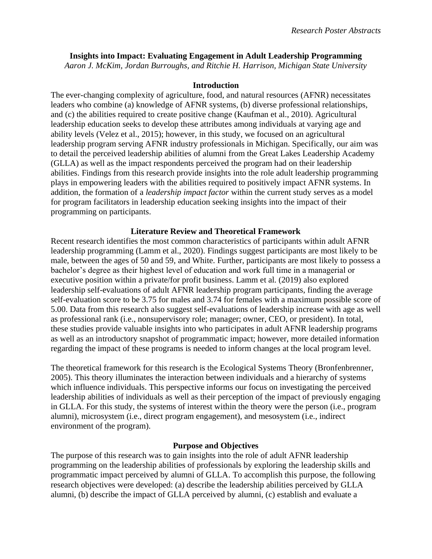# <span id="page-10-0"></span>**Insights into Impact: Evaluating Engagement in Adult Leadership Programming**

*Aaron J. McKim, Jordan Burroughs, and Ritchie H. Harrison, Michigan State University*

## **Introduction**

The ever-changing complexity of agriculture, food, and natural resources (AFNR) necessitates leaders who combine (a) knowledge of AFNR systems, (b) diverse professional relationships, and (c) the abilities required to create positive change (Kaufman et al., 2010). Agricultural leadership education seeks to develop these attributes among individuals at varying age and ability levels (Velez et al., 2015); however, in this study, we focused on an agricultural leadership program serving AFNR industry professionals in Michigan. Specifically, our aim was to detail the perceived leadership abilities of alumni from the Great Lakes Leadership Academy (GLLA) as well as the impact respondents perceived the program had on their leadership abilities. Findings from this research provide insights into the role adult leadership programming plays in empowering leaders with the abilities required to positively impact AFNR systems. In addition, the formation of a *leadership impact factor* within the current study serves as a model for program facilitators in leadership education seeking insights into the impact of their programming on participants.

## **Literature Review and Theoretical Framework**

Recent research identifies the most common characteristics of participants within adult AFNR leadership programming (Lamm et al., 2020). Findings suggest participants are most likely to be male, between the ages of 50 and 59, and White. Further, participants are most likely to possess a bachelor's degree as their highest level of education and work full time in a managerial or executive position within a private/for profit business. Lamm et al. (2019) also explored leadership self-evaluations of adult AFNR leadership program participants, finding the average self-evaluation score to be 3.75 for males and 3.74 for females with a maximum possible score of 5.00. Data from this research also suggest self-evaluations of leadership increase with age as well as professional rank (i.e., nonsupervisory role; manager; owner, CEO, or president). In total, these studies provide valuable insights into who participates in adult AFNR leadership programs as well as an introductory snapshot of programmatic impact; however, more detailed information regarding the impact of these programs is needed to inform changes at the local program level.

The theoretical framework for this research is the Ecological Systems Theory (Bronfenbrenner, 2005). This theory illuminates the interaction between individuals and a hierarchy of systems which influence individuals. This perspective informs our focus on investigating the perceived leadership abilities of individuals as well as their perception of the impact of previously engaging in GLLA. For this study, the systems of interest within the theory were the person (i.e., program alumni), microsystem (i.e., direct program engagement), and mesosystem (i.e., indirect environment of the program).

# **Purpose and Objectives**

The purpose of this research was to gain insights into the role of adult AFNR leadership programming on the leadership abilities of professionals by exploring the leadership skills and programmatic impact perceived by alumni of GLLA. To accomplish this purpose, the following research objectives were developed: (a) describe the leadership abilities perceived by GLLA alumni, (b) describe the impact of GLLA perceived by alumni, (c) establish and evaluate a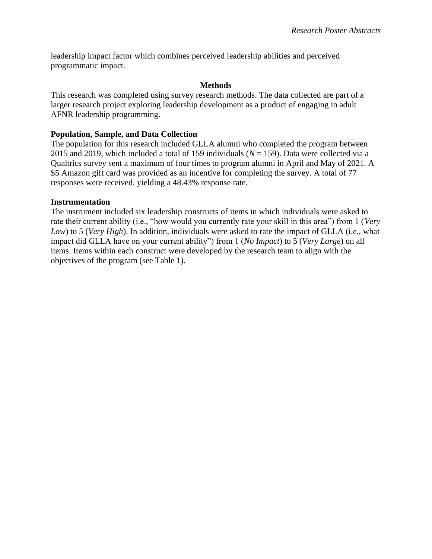leadership impact factor which combines perceived leadership abilities and perceived programmatic impact.

## **Methods**

This research was completed using survey research methods. The data collected are part of a larger research project exploring leadership development as a product of engaging in adult AFNR leadership programming.

## **Population, Sample, and Data Collection**

The population for this research included GLLA alumni who completed the program between 2015 and 2019, which included a total of 159 individuals (*N* = 159). Data were collected via a Qualtrics survey sent a maximum of four times to program alumni in April and May of 2021. A \$5 Amazon gift card was provided as an incentive for completing the survey. A total of 77 responses were received, yielding a 48.43% response rate.

## **Instrumentation**

The instrument included six leadership constructs of items in which individuals were asked to rate their current ability (i.e., "how would you currently rate your skill in this area") from 1 (*Very Low*) to 5 (*Very High*). In addition, individuals were asked to rate the impact of GLLA (i.e., what impact did GLLA have on your current ability") from 1 (*No Impact*) to 5 (*Very Large*) on all items. Items within each construct were developed by the research team to align with the objectives of the program (see Table 1).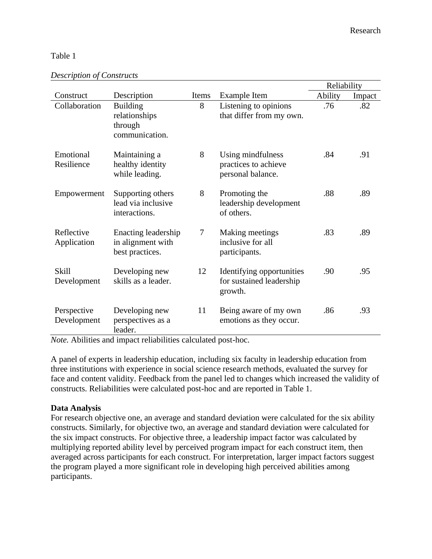## Table 1

|                            |                                                               |       |                                                                  | Reliability |        |
|----------------------------|---------------------------------------------------------------|-------|------------------------------------------------------------------|-------------|--------|
| Construct                  | Description                                                   | Items | Example Item                                                     | Ability     | Impact |
| Collaboration              | <b>Building</b><br>relationships<br>through<br>communication. | 8     | Listening to opinions<br>that differ from my own.                | .76         | .82    |
| Emotional<br>Resilience    | Maintaining a<br>healthy identity<br>while leading.           | 8     | Using mindfulness<br>practices to achieve<br>personal balance.   | .84         | .91    |
| Empowerment                | Supporting others<br>lead via inclusive<br>interactions.      | 8     | Promoting the<br>leadership development<br>of others.            | .88         | .89    |
| Reflective<br>Application  | Enacting leadership<br>in alignment with<br>best practices.   | 7     | Making meetings<br>inclusive for all<br>participants.            | .83         | .89    |
| Skill<br>Development       | Developing new<br>skills as a leader.                         | 12    | Identifying opportunities<br>for sustained leadership<br>growth. | .90         | .95    |
| Perspective<br>Development | Developing new<br>perspectives as a<br>leader.                | 11    | Being aware of my own<br>emotions as they occur.                 | .86         | .93    |

*Note.* Abilities and impact reliabilities calculated post-hoc.

A panel of experts in leadership education, including six faculty in leadership education from three institutions with experience in social science research methods, evaluated the survey for face and content validity. Feedback from the panel led to changes which increased the validity of constructs. Reliabilities were calculated post-hoc and are reported in Table 1.

## **Data Analysis**

For research objective one, an average and standard deviation were calculated for the six ability constructs. Similarly, for objective two, an average and standard deviation were calculated for the six impact constructs. For objective three, a leadership impact factor was calculated by multiplying reported ability level by perceived program impact for each construct item, then averaged across participants for each construct. For interpretation, larger impact factors suggest the program played a more significant role in developing high perceived abilities among participants.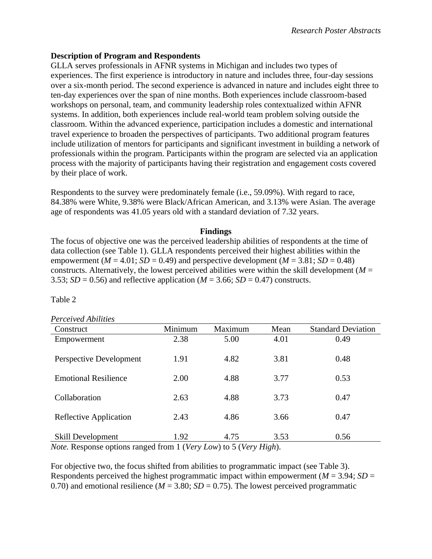# **Description of Program and Respondents**

GLLA serves professionals in AFNR systems in Michigan and includes two types of experiences. The first experience is introductory in nature and includes three, four-day sessions over a six-month period. The second experience is advanced in nature and includes eight three to ten-day experiences over the span of nine months. Both experiences include classroom-based workshops on personal, team, and community leadership roles contextualized within AFNR systems. In addition, both experiences include real-world team problem solving outside the classroom. Within the advanced experience, participation includes a domestic and international travel experience to broaden the perspectives of participants. Two additional program features include utilization of mentors for participants and significant investment in building a network of professionals within the program. Participants within the program are selected via an application process with the majority of participants having their registration and engagement costs covered by their place of work.

Respondents to the survey were predominately female (i.e., 59.09%). With regard to race, 84.38% were White, 9.38% were Black/African American, and 3.13% were Asian. The average age of respondents was 41.05 years old with a standard deviation of 7.32 years.

## **Findings**

The focus of objective one was the perceived leadership abilities of respondents at the time of data collection (see Table 1). GLLA respondents perceived their highest abilities within the empowerment ( $M = 4.01$ ;  $SD = 0.49$ ) and perspective development ( $M = 3.81$ ;  $SD = 0.48$ ) constructs. Alternatively, the lowest perceived abilities were within the skill development ( $M =$ 3.53;  $SD = 0.56$ ) and reflective application ( $M = 3.66$ ;  $SD = 0.47$ ) constructs.

## Table 2

#### *Perceived Abilities*

| Construct                   | Minimum | Maximum | Mean | <b>Standard Deviation</b> |
|-----------------------------|---------|---------|------|---------------------------|
| Empowerment                 | 2.38    | 5.00    | 4.01 | 0.49                      |
| Perspective Development     | 1.91    | 4.82    | 3.81 | 0.48                      |
| <b>Emotional Resilience</b> | 2.00    | 4.88    | 3.77 | 0.53                      |
| Collaboration               | 2.63    | 4.88    | 3.73 | 0.47                      |
| Reflective Application      | 2.43    | 4.86    | 3.66 | 0.47                      |
| <b>Skill Development</b>    | 1.92    | 4.75    | 3.53 | 0.56                      |

*Note.* Response options ranged from 1 (*Very Low*) to 5 (*Very High*).

For objective two, the focus shifted from abilities to programmatic impact (see Table 3). Respondents perceived the highest programmatic impact within empowerment ( $M = 3.94$ ;  $SD =$ 0.70) and emotional resilience ( $M = 3.80$ ;  $SD = 0.75$ ). The lowest perceived programmatic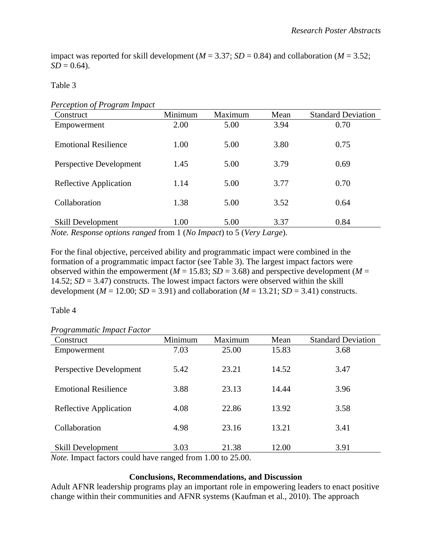impact was reported for skill development ( $M = 3.37$ ;  $SD = 0.84$ ) and collaboration ( $M = 3.52$ ;  $SD = 0.64$ .

Table 3

| <b>Perception of Program Impact</b> |  |  |  |
|-------------------------------------|--|--|--|
|-------------------------------------|--|--|--|

| Construct                   | Minimum | Maximum | Mean | <b>Standard Deviation</b> |
|-----------------------------|---------|---------|------|---------------------------|
| Empowerment                 | 2.00    | 5.00    | 3.94 | 0.70                      |
|                             |         |         |      |                           |
| <b>Emotional Resilience</b> | 1.00    | 5.00    | 3.80 | 0.75                      |
|                             |         |         |      |                           |
| Perspective Development     | 1.45    | 5.00    | 3.79 | 0.69                      |
|                             |         |         |      |                           |
| Reflective Application      | 1.14    | 5.00    | 3.77 | 0.70                      |
|                             |         |         |      |                           |
| Collaboration               | 1.38    | 5.00    | 3.52 | 0.64                      |
|                             |         |         |      |                           |
| <b>Skill Development</b>    | 1.00    | 5.00    | 3.37 | 0.84                      |

*Note. Response options ranged* from 1 (*No Impact*) to 5 (*Very Large*).

For the final objective, perceived ability and programmatic impact were combined in the formation of a programmatic impact factor (see Table 3). The largest impact factors were observed within the empowerment ( $M = 15.83$ ;  $SD = 3.68$ ) and perspective development ( $M =$ 14.52;  $SD = 3.47$ ) constructs. The lowest impact factors were observed within the skill development ( $M = 12.00$ ;  $SD = 3.91$ ) and collaboration ( $M = 13.21$ ;  $SD = 3.41$ ) constructs.

Table 4

| Construct                   | Minimum | Maximum | Mean  | <b>Standard Deviation</b> |
|-----------------------------|---------|---------|-------|---------------------------|
| Empowerment                 | 7.03    | 25.00   | 15.83 | 3.68                      |
| Perspective Development     | 5.42    | 23.21   | 14.52 | 3.47                      |
| <b>Emotional Resilience</b> | 3.88    | 23.13   | 14.44 | 3.96                      |
| Reflective Application      | 4.08    | 22.86   | 13.92 | 3.58                      |
| Collaboration               | 4.98    | 23.16   | 13.21 | 3.41                      |
| <b>Skill Development</b>    | 3.03    | 21.38   | 12.00 | 3.91                      |

## *Programmatic Impact Factor*

*Note.* Impact factors could have ranged from 1.00 to 25.00.

#### **Conclusions, Recommendations, and Discussion**

Adult AFNR leadership programs play an important role in empowering leaders to enact positive change within their communities and AFNR systems (Kaufman et al., 2010). The approach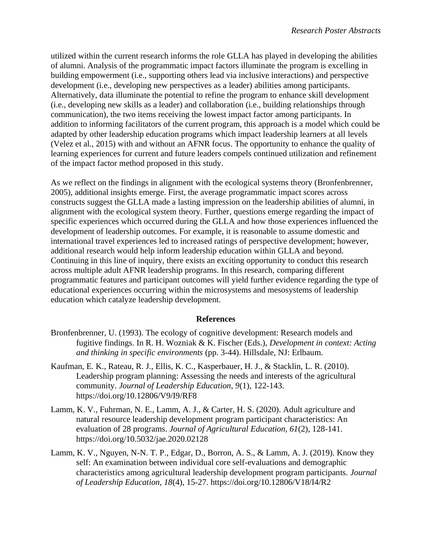utilized within the current research informs the role GLLA has played in developing the abilities of alumni. Analysis of the programmatic impact factors illuminate the program is excelling in building empowerment (i.e., supporting others lead via inclusive interactions) and perspective development (i.e., developing new perspectives as a leader) abilities among participants. Alternatively, data illuminate the potential to refine the program to enhance skill development (i.e., developing new skills as a leader) and collaboration (i.e., building relationships through communication), the two items receiving the lowest impact factor among participants. In addition to informing facilitators of the current program, this approach is a model which could be adapted by other leadership education programs which impact leadership learners at all levels (Velez et al., 2015) with and without an AFNR focus. The opportunity to enhance the quality of learning experiences for current and future leaders compels continued utilization and refinement of the impact factor method proposed in this study.

As we reflect on the findings in alignment with the ecological systems theory (Bronfenbrenner, 2005), additional insights emerge. First, the average programmatic impact scores across constructs suggest the GLLA made a lasting impression on the leadership abilities of alumni, in alignment with the ecological system theory. Further, questions emerge regarding the impact of specific experiences which occurred during the GLLA and how those experiences influenced the development of leadership outcomes. For example, it is reasonable to assume domestic and international travel experiences led to increased ratings of perspective development; however, additional research would help inform leadership education within GLLA and beyond. Continuing in this line of inquiry, there exists an exciting opportunity to conduct this research across multiple adult AFNR leadership programs. In this research, comparing different programmatic features and participant outcomes will yield further evidence regarding the type of educational experiences occurring within the microsystems and mesosystems of leadership education which catalyze leadership development.

#### **References**

- Bronfenbrenner, U. (1993). The ecology of cognitive development: Research models and fugitive findings. In R. H. Wozniak & K. Fischer (Eds.), *Development in context: Acting and thinking in specific environments* (pp. 3-44). Hillsdale, NJ: Erlbaum.
- Kaufman, E. K., Rateau, R. J., Ellis, K. C., Kasperbauer, H. J., & Stacklin, L. R. (2010). Leadership program planning: Assessing the needs and interests of the agricultural community. *Journal of Leadership Education, 9*(1), 122-143. https://doi.org/10.12806/V9/I9/RF8
- Lamm, K. V., Fuhrman, N. E., Lamm, A. J., & Carter, H. S. (2020). Adult agriculture and natural resource leadership development program participant characteristics: An evaluation of 28 programs. *Journal of Agricultural Education, 61*(2), 128-141. https://doi.org/10.5032/jae.2020.02128
- Lamm, K. V., Nguyen, N-N. T. P., Edgar, D., Borron, A. S., & Lamm, A. J. (2019). Know they self: An examination between individual core self-evaluations and demographic characteristics among agricultural leadership development program participants. *Journal of Leadership Education, 18*(4), 15-27. https://doi.org/10.12806/V18/I4/R2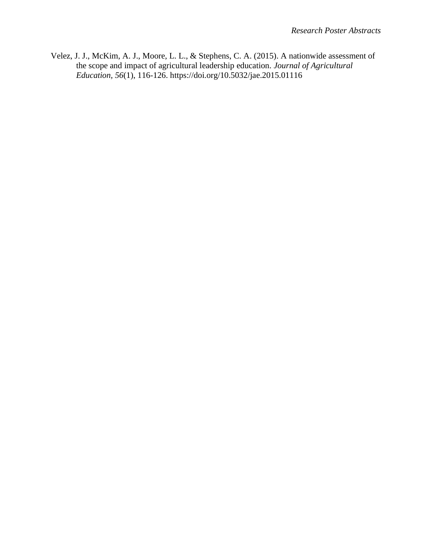Velez, J. J., McKim, A. J., Moore, L. L., & Stephens, C. A. (2015). A nationwide assessment of the scope and impact of agricultural leadership education. *Journal of Agricultural Education, 56*(1), 116-126. https://doi.org/10.5032/jae.2015.01116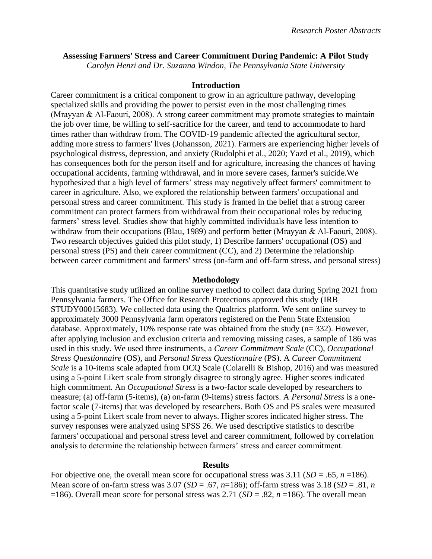## <span id="page-17-0"></span>**Assessing Farmers' Stress and Career Commitment During Pandemic: A Pilot Study**

*Carolyn Henzi and Dr. Suzanna Windon, The Pennsylvania State University*

#### **Introduction**

Career commitment is a critical component to grow in an agriculture pathway, developing specialized skills and providing the power to persist even in the most challenging times (Mrayyan & Al‐Faouri, 2008). A strong career commitment may promote strategies to maintain the job over time, be willing to self-sacrifice for the career, and tend to accommodate to hard times rather than withdraw from. The COVID-19 pandemic affected the agricultural sector, adding more stress to farmers' lives (Johansson, 2021). Farmers are experiencing higher levels of psychological distress, depression, and anxiety (Rudolphi et al., 2020; Yazd et al., 2019), which has consequences both for the person itself and for agriculture, increasing the chances of having occupational accidents, farming withdrawal, and in more severe cases, farmer's suicide.We hypothesized that a high level of farmers' stress may negatively affect farmers' commitment to career in agriculture. Also, we explored the relationship between farmers' occupational and personal stress and career commitment. This study is framed in the belief that a strong career commitment can protect farmers from withdrawal from their occupational roles by reducing farmers' stress level. Studies show that highly committed individuals have less intention to withdraw from their occupations (Blau, 1989) and perform better (Mrayyan & Al-Faouri, 2008). Two research objectives guided this pilot study, 1) Describe farmers' occupational (OS) and personal stress (PS) and their career commitment (CC), and 2) Determine the relationship between career commitment and farmers' stress (on-farm and off-farm stress, and personal stress)

#### **Methodology**

This quantitative study utilized an online survey method to collect data during Spring 2021 from Pennsylvania farmers. The Office for Research Protections approved this study (IRB STUDY00015683). We collected data using the Qualtrics platform. We sent online survey to approximately 3000 Pennsylvania farm operators registered on the Penn State Extension database. Approximately, 10% response rate was obtained from the study (n= 332). However, after applying inclusion and exclusion criteria and removing missing cases, a sample of 186 was used in this study. We used three instruments, a *Career Commitment Scale* (CC), *Occupational Stress Questionnaire* (OS), and *Personal Stress Questionnaire* (PS). A *Career Commitment Scale* is a 10-items scale adapted from OCQ Scale (Colarelli & Bishop, 2016) and was measured using a 5-point Likert scale from strongly disagree to strongly agree. Higher scores indicated high commitment. An *Occupational Stress* is a two-factor scale developed by researchers to measure; (a) off-farm (5-items), (a) on-farm (9-items) stress factors. A *Personal Stress* is a onefactor scale (7-items) that was developed by researchers. Both OS and PS scales were measured using a 5-point Likert scale from never to always. Higher scores indicated higher stress. The survey responses were analyzed using SPSS 26. We used descriptive statistics to describe farmers' occupational and personal stress level and career commitment, followed by correlation analysis to determine the relationship between farmers' stress and career commitment.

#### **Results**

For objective one, the overall mean score for occupational stress was  $3.11$  (*SD* = .65, *n* =186). Mean score of on-farm stress was  $3.07$  (*SD* = .67, *n*=186); off-farm stress was  $3.18$  (*SD* = .81, *n* =186). Overall mean score for personal stress was 2.71 (*SD* = .82, *n* =186). The overall mean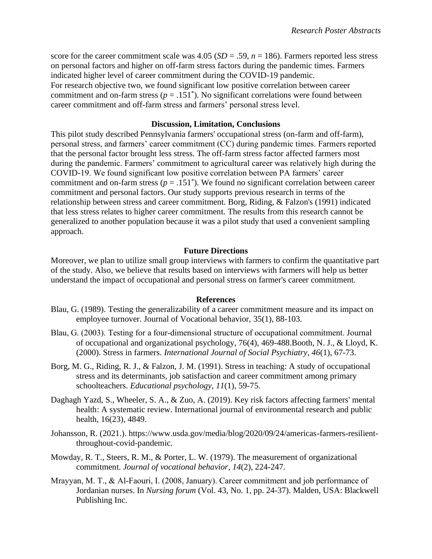score for the career commitment scale was  $4.05$  ( $SD = .59$ ,  $n = 186$ ). Farmers reported less stress on personal factors and higher on off-farm stress factors during the pandemic times. Farmers indicated higher level of career commitment during the COVID-19 pandemic. For research objective two, we found significant low positive correlation between career commitment and on-farm stress ( $p = .151^*$ ). No significant correlations were found between career commitment and off-farm stress and farmers' personal stress level.

#### **Discussion, Limitation, Conclusions**

This pilot study described Pennsylvania farmers' occupational stress (on-farm and off-farm), personal stress, and farmers' career commitment (CC) during pandemic times. Farmers reported that the personal factor brought less stress. The off-farm stress factor affected farmers most during the pandemic. Farmers' commitment to agricultural career was relatively high during the COVID-19. We found significant low positive correlation between PA farmers' career commitment and on-farm stress ( $p = .151^*$ ). We found no significant correlation between career commitment and personal factors. Our study supports previous research in terms of the relationship between stress and career commitment. Borg, Riding, & Falzon's (1991) indicated that less stress relates to higher career commitment. The results from this research cannot be generalized to another population because it was a pilot study that used a convenient sampling approach.

### **Future Directions**

Moreover, we plan to utilize small group interviews with farmers to confirm the quantitative part of the study. Also, we believe that results based on interviews with farmers will help us better understand the impact of occupational and personal stress on farmer's career commitment.

#### **References**

- Blau, G. (1989). Testing the generalizability of a career commitment measure and its impact on employee turnover. Journal of Vocational behavior, 35(1), 88-103.
- Blau, G. (2003). Testing for a four-dimensional structure of occupational commitment. Journal of occupational and organizational psychology, 76(4), 469-488.Booth, N. J., & Lloyd, K. (2000). Stress in farmers. *International Journal of Social Psychiatry*, *46*(1), 67-73.
- Borg, M. G., Riding, R. J., & Falzon, J. M. (1991). Stress in teaching: A study of occupational stress and its determinants, job satisfaction and career commitment among primary schoolteachers. *Educational psychology*, *11*(1), 59-75.
- Daghagh Yazd, S., Wheeler, S. A., & Zuo, A. (2019). Key risk factors affecting farmers' mental health: A systematic review. International journal of environmental research and public health, 16(23), 4849.
- Johansson, R. (2021.). https://www.usda.gov/media/blog/2020/09/24/americas-farmers-resilientthroughout-covid-pandemic.
- Mowday, R. T., Steers, R. M., & Porter, L. W. (1979). The measurement of organizational commitment. *Journal of vocational behavior*, *14*(2), 224-247.
- Mrayyan, M. T., & Al‐Faouri, I. (2008, January). Career commitment and job performance of Jordanian nurses. In *Nursing forum* (Vol. 43, No. 1, pp. 24-37). Malden, USA: Blackwell Publishing Inc.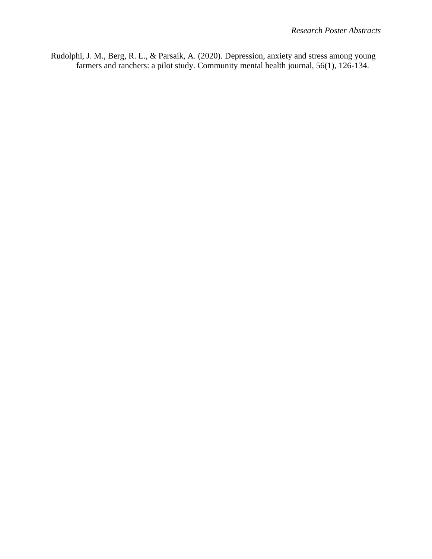Rudolphi, J. M., Berg, R. L., & Parsaik, A. (2020). Depression, anxiety and stress among young farmers and ranchers: a pilot study. Community mental health journal, 56(1), 126-134.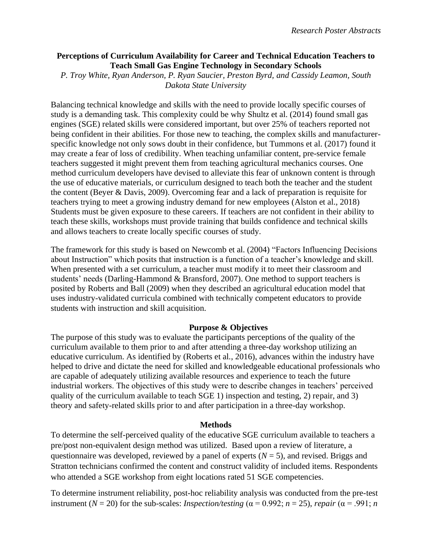## <span id="page-20-0"></span>**Perceptions of Curriculum Availability for Career and Technical Education Teachers to Teach Small Gas Engine Technology in Secondary Schools**

*P. Troy White, Ryan Anderson, P. Ryan Saucier, Preston Byrd, and Cassidy Leamon, South Dakota State University*

Balancing technical knowledge and skills with the need to provide locally specific courses of study is a demanding task. This complexity could be why Shultz et al. (2014) found small gas engines (SGE) related skills were considered important, but over 25% of teachers reported not being confident in their abilities. For those new to teaching, the complex skills and manufacturerspecific knowledge not only sows doubt in their confidence, but Tummons et al. (2017) found it may create a fear of loss of credibility. When teaching unfamiliar content, pre-service female teachers suggested it might prevent them from teaching agricultural mechanics courses. One method curriculum developers have devised to alleviate this fear of unknown content is through the use of educative materials, or curriculum designed to teach both the teacher and the student the content (Beyer & Davis, 2009). Overcoming fear and a lack of preparation is requisite for teachers trying to meet a growing industry demand for new employees (Alston et al., 2018) Students must be given exposure to these careers. If teachers are not confident in their ability to teach these skills, workshops must provide training that builds confidence and technical skills and allows teachers to create locally specific courses of study.

The framework for this study is based on Newcomb et al. (2004) "Factors Influencing Decisions about Instruction" which posits that instruction is a function of a teacher's knowledge and skill. When presented with a set curriculum, a teacher must modify it to meet their classroom and students' needs (Darling-Hammond & Bransford, 2007). One method to support teachers is posited by Roberts and Ball (2009) when they described an agricultural education model that uses industry-validated curricula combined with technically competent educators to provide students with instruction and skill acquisition.

# **Purpose & Objectives**

The purpose of this study was to evaluate the participants perceptions of the quality of the curriculum available to them prior to and after attending a three-day workshop utilizing an educative curriculum. As identified by (Roberts et al., 2016), advances within the industry have helped to drive and dictate the need for skilled and knowledgeable educational professionals who are capable of adequately utilizing available resources and experience to teach the future industrial workers. The objectives of this study were to describe changes in teachers' perceived quality of the curriculum available to teach SGE 1) inspection and testing, 2) repair, and 3) theory and safety-related skills prior to and after participation in a three-day workshop.

## **Methods**

To determine the self-perceived quality of the educative SGE curriculum available to teachers a pre/post non-equivalent design method was utilized. Based upon a review of literature, a questionnaire was developed, reviewed by a panel of experts  $(N = 5)$ , and revised. Briggs and Stratton technicians confirmed the content and construct validity of included items. Respondents who attended a SGE workshop from eight locations rated 51 SGE competencies.

To determine instrument reliability, post-hoc reliability analysis was conducted from the pre-test instrument ( $N = 20$ ) for the sub-scales: *Inspection/testing* ( $\alpha = 0.992$ ;  $n = 25$ ), *repair* ( $\alpha = .991$ ; *n*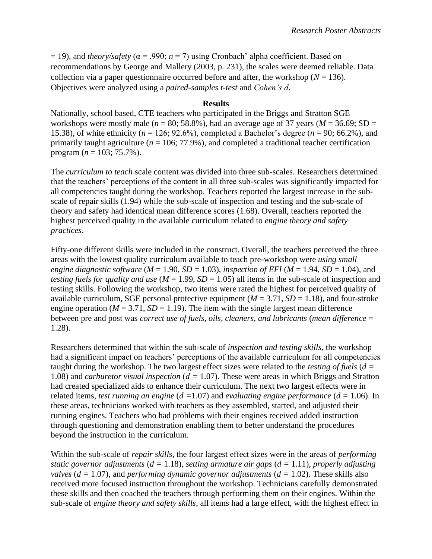$= 19$ ), and *theory/safety* ( $\alpha = .990$ ;  $n = 7$ ) using Cronbach' alpha coefficient. Based on recommendations by George and Mallery (2003, p. 231), the scales were deemed reliable. Data collection via a paper questionnaire occurred before and after, the workshop ( $N = 136$ ). Objectives were analyzed using a *paired-samples t-test* and *Cohen's d*.

#### **Results**

Nationally, school based, CTE teachers who participated in the Briggs and Stratton SGE workshops were mostly male ( $n = 80$ ; 58.8%), had an average age of 37 years ( $M = 36.69$ ; SD = 15.38), of white ethnicity (*n* = 126; 92.6%), completed a Bachelor's degree (*n* = 90; 66.2%), and primarily taught agriculture ( $n = 106$ ; 77.9%), and completed a traditional teacher certification program ( $n = 103$ ; 75.7%).

The *curriculum to teach* scale content was divided into three sub-scales. Researchers determined that the teachers' perceptions of the content in all three sub-scales was significantly impacted for all competencies taught during the workshop. Teachers reported the largest increase in the subscale of repair skills (1.94) while the sub-scale of inspection and testing and the sub-scale of theory and safety had identical mean difference scores (1.68). Overall, teachers reported the highest perceived quality in the available curriculum related to *engine theory and safety practices*.

Fifty-one different skills were included in the construct. Overall, the teachers perceived the three areas with the lowest quality curriculum available to teach pre-workshop were *using small engine diagnostic software*  $(M = 1.90, SD = 1.03)$ , *inspection of EFI*  $(M = 1.94, SD = 1.04)$ , and *testing fuels for quality and use*  $(M = 1.99, SD = 1.05)$  all items in the sub-scale of inspection and testing skills. Following the workshop, two items were rated the highest for perceived quality of available curriculum, SGE personal protective equipment  $(M = 3.71, SD = 1.18)$ , and four-stroke engine operation ( $M = 3.71$ ,  $SD = 1.19$ ). The item with the single largest mean difference between pre and post was *correct use of fuels, oils, cleaners, and lubricants* (*mean difference* = 1.28).

Researchers determined that within the sub-scale of *inspection and testing skills*, the workshop had a significant impact on teachers' perceptions of the available curriculum for all competencies taught during the workshop. The two largest effect sizes were related to the *testing of fuels* (*d =* 1.08) and *carburetor visual inspection* (*d =* 1.07). These were areas in which Briggs and Stratton had created specialized aids to enhance their curriculum. The next two largest effects were in related items, *test running an engine* (*d =*1.07) and *evaluating engine performance* (*d =* 1.06). In these areas, technicians worked with teachers as they assembled, started, and adjusted their running engines. Teachers who had problems with their engines received added instruction through questioning and demonstration enabling them to better understand the procedures beyond the instruction in the curriculum.

Within the sub-scale of *repair skills*, the four largest effect sizes were in the areas of *performing static governor adjustments* (*d =* 1.18), *setting armature air gaps* (*d =* 1.11), *properly adjusting valves* (*d =* 1.07), and *performing dynamic governor adjustments* (*d =* 1.02). These skills also received more focused instruction throughout the workshop. Technicians carefully demonstrated these skills and then coached the teachers through performing them on their engines. Within the sub-scale of *engine theory and safety skills*, all items had a large effect, with the highest effect in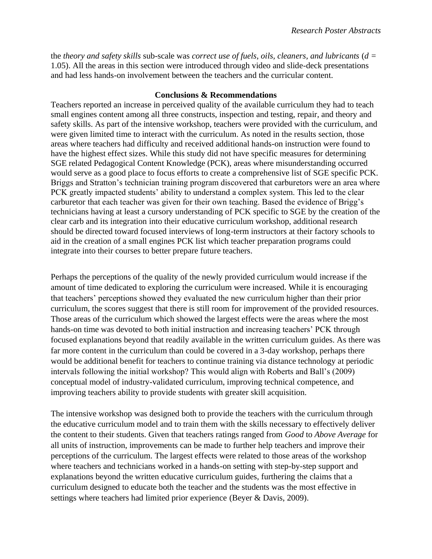the *theory and safety skills* sub-scale was *correct use of fuels, oils, cleaners, and lubricants* (*d =* 1.05). All the areas in this section were introduced through video and slide-deck presentations and had less hands-on involvement between the teachers and the curricular content.

## **Conclusions & Recommendations**

Teachers reported an increase in perceived quality of the available curriculum they had to teach small engines content among all three constructs, inspection and testing, repair, and theory and safety skills. As part of the intensive workshop, teachers were provided with the curriculum, and were given limited time to interact with the curriculum. As noted in the results section, those areas where teachers had difficulty and received additional hands-on instruction were found to have the highest effect sizes. While this study did not have specific measures for determining SGE related Pedagogical Content Knowledge (PCK), areas where misunderstanding occurred would serve as a good place to focus efforts to create a comprehensive list of SGE specific PCK. Briggs and Stratton's technician training program discovered that carburetors were an area where PCK greatly impacted students' ability to understand a complex system. This led to the clear carburetor that each teacher was given for their own teaching. Based the evidence of Brigg's technicians having at least a cursory understanding of PCK specific to SGE by the creation of the clear carb and its integration into their educative curriculum workshop, additional research should be directed toward focused interviews of long-term instructors at their factory schools to aid in the creation of a small engines PCK list which teacher preparation programs could integrate into their courses to better prepare future teachers.

Perhaps the perceptions of the quality of the newly provided curriculum would increase if the amount of time dedicated to exploring the curriculum were increased. While it is encouraging that teachers' perceptions showed they evaluated the new curriculum higher than their prior curriculum, the scores suggest that there is still room for improvement of the provided resources. Those areas of the curriculum which showed the largest effects were the areas where the most hands-on time was devoted to both initial instruction and increasing teachers' PCK through focused explanations beyond that readily available in the written curriculum guides. As there was far more content in the curriculum than could be covered in a 3-day workshop, perhaps there would be additional benefit for teachers to continue training via distance technology at periodic intervals following the initial workshop? This would align with Roberts and Ball's (2009) conceptual model of industry-validated curriculum, improving technical competence, and improving teachers ability to provide students with greater skill acquisition.

The intensive workshop was designed both to provide the teachers with the curriculum through the educative curriculum model and to train them with the skills necessary to effectively deliver the content to their students. Given that teachers ratings ranged from *Good* to *Above Average* for all units of instruction, improvements can be made to further help teachers and improve their perceptions of the curriculum. The largest effects were related to those areas of the workshop where teachers and technicians worked in a hands-on setting with step-by-step support and explanations beyond the written educative curriculum guides, furthering the claims that a curriculum designed to educate both the teacher and the students was the most effective in settings where teachers had limited prior experience (Beyer & Davis, 2009).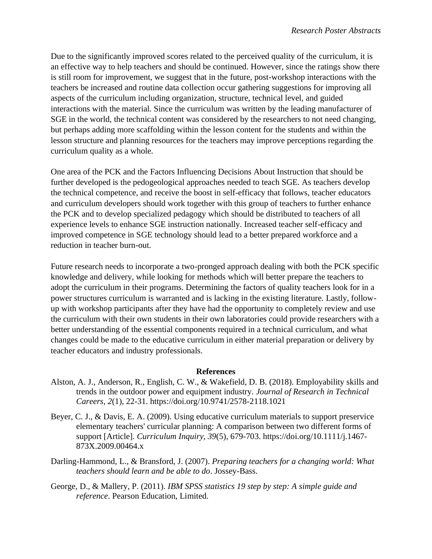Due to the significantly improved scores related to the perceived quality of the curriculum, it is an effective way to help teachers and should be continued. However, since the ratings show there is still room for improvement, we suggest that in the future, post-workshop interactions with the teachers be increased and routine data collection occur gathering suggestions for improving all aspects of the curriculum including organization, structure, technical level, and guided interactions with the material. Since the curriculum was written by the leading manufacturer of SGE in the world, the technical content was considered by the researchers to not need changing, but perhaps adding more scaffolding within the lesson content for the students and within the lesson structure and planning resources for the teachers may improve perceptions regarding the curriculum quality as a whole.

One area of the PCK and the Factors Influencing Decisions About Instruction that should be further developed is the pedogeological approaches needed to teach SGE. As teachers develop the technical competence, and receive the boost in self-efficacy that follows, teacher educators and curriculum developers should work together with this group of teachers to further enhance the PCK and to develop specialized pedagogy which should be distributed to teachers of all experience levels to enhance SGE instruction nationally. Increased teacher self-efficacy and improved competence in SGE technology should lead to a better prepared workforce and a reduction in teacher burn-out.

Future research needs to incorporate a two-pronged approach dealing with both the PCK specific knowledge and delivery, while looking for methods which will better prepare the teachers to adopt the curriculum in their programs. Determining the factors of quality teachers look for in a power structures curriculum is warranted and is lacking in the existing literature. Lastly, followup with workshop participants after they have had the opportunity to completely review and use the curriculum with their own students in their own laboratories could provide researchers with a better understanding of the essential components required in a technical curriculum, and what changes could be made to the educative curriculum in either material preparation or delivery by teacher educators and industry professionals.

#### **References**

- Alston, A. J., Anderson, R., English, C. W., & Wakefield, D. B. (2018). Employability skills and trends in the outdoor power and equipment industry. *Journal of Research in Technical Careers, 2*(1), 22-31. https://doi.org/10.9741/2578-2118.1021
- Beyer, C. J., & Davis, E. A. (2009). Using educative curriculum materials to support preservice elementary teachers' curricular planning: A comparison between two different forms of support [Article]. *Curriculum Inquiry, 39*(5), 679-703. https://doi.org/10.1111/j.1467- 873X.2009.00464.x
- Darling-Hammond, L., & Bransford, J. (2007). *Preparing teachers for a changing world: What teachers should learn and be able to do*. Jossey-Bass.
- George, D., & Mallery, P. (2011). *IBM SPSS statistics 19 step by step: A simple guide and reference*. Pearson Education, Limited.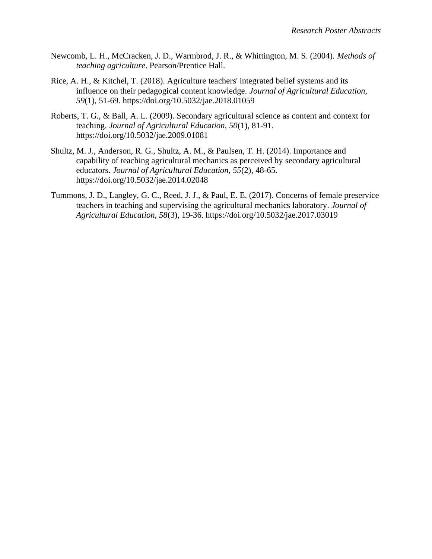- Newcomb, L. H., McCracken, J. D., Warmbrod, J. R., & Whittington, M. S. (2004). *Methods of teaching agriculture*. Pearson/Prentice Hall.
- Rice, A. H., & Kitchel, T. (2018). Agriculture teachers' integrated belief systems and its influence on their pedagogical content knowledge. *Journal of Agricultural Education, 59*(1), 51-69. https://doi.org/10.5032/jae.2018.01059
- Roberts, T. G., & Ball, A. L. (2009). Secondary agricultural science as content and context for teaching. *Journal of Agricultural Education, 50*(1), 81-91. https://doi.org/10.5032/jae.2009.01081
- Shultz, M. J., Anderson, R. G., Shultz, A. M., & Paulsen, T. H. (2014). Importance and capability of teaching agricultural mechanics as perceived by secondary agricultural educators. *Journal of Agricultural Education, 55*(2), 48-65. https://doi.org/10.5032/jae.2014.02048
- Tummons, J. D., Langley, G. C., Reed, J. J., & Paul, E. E. (2017). Concerns of female preservice teachers in teaching and supervising the agricultural mechanics laboratory. *Journal of Agricultural Education, 58*(3), 19-36. https://doi.org/10.5032/jae.2017.03019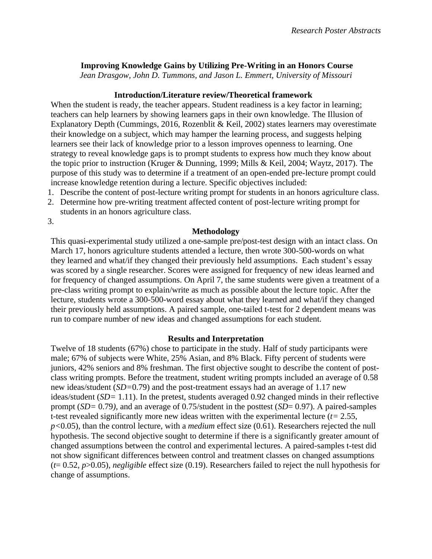## <span id="page-25-0"></span>**Improving Knowledge Gains by Utilizing Pre-Writing in an Honors Course**

*Jean Drasgow, John D. Tummons, and Jason L. Emmert, University of Missouri*

#### **Introduction/Literature review/Theoretical framework**

When the student is ready, the teacher appears. Student readiness is a key factor in learning; teachers can help learners by showing learners gaps in their own knowledge. The Illusion of Explanatory Depth (Cummings, 2016, Rozenblit & Keil, 2002) states learners may overestimate their knowledge on a subject, which may hamper the learning process, and suggests helping learners see their lack of knowledge prior to a lesson improves openness to learning. One strategy to reveal knowledge gaps is to prompt students to express how much they know about the topic prior to instruction (Kruger & Dunning, 1999; Mills & Keil, 2004; Waytz, 2017). The purpose of this study was to determine if a treatment of an open-ended pre-lecture prompt could increase knowledge retention during a lecture. Specific objectives included:

- 1. Describe the content of post-lecture writing prompt for students in an honors agriculture class.
- 2. Determine how pre-writing treatment affected content of post-lecture writing prompt for students in an honors agriculture class.

3.

#### **Methodology**

This quasi-experimental study utilized a one-sample pre/post-test design with an intact class. On March 17, honors agriculture students attended a lecture, then wrote 300-500-words on what they learned and what/if they changed their previously held assumptions. Each student's essay was scored by a single researcher. Scores were assigned for frequency of new ideas learned and for frequency of changed assumptions. On April 7, the same students were given a treatment of a pre-class writing prompt to explain/write as much as possible about the lecture topic. After the lecture, students wrote a 300-500-word essay about what they learned and what/if they changed their previously held assumptions. A paired sample, one-tailed t-test for 2 dependent means was run to compare number of new ideas and changed assumptions for each student.

#### **Results and Interpretation**

Twelve of 18 students (67%) chose to participate in the study. Half of study participants were male; 67% of subjects were White, 25% Asian, and 8% Black. Fifty percent of students were juniors, 42% seniors and 8% freshman. The first objective sought to describe the content of postclass writing prompts. Before the treatment, student writing prompts included an average of 0.58 new ideas/student (*SD=*0.79) and the post-treatment essays had an average of 1.17 new ideas/student (*SD=* 1.11). In the pretest, students averaged 0.92 changed minds in their reflective prompt (*SD=* 0.79*)*, and an average of 0.75/student in the posttest (*SD*= 0.97). A paired-samples t-test revealed significantly more new ideas written with the experimental lecture (*t=* 2.55, *p<*0.05), than the control lecture, with a *medium* effect size (0.61). Researchers rejected the null hypothesis. The second objective sought to determine if there is a significantly greater amount of changed assumptions between the control and experimental lectures. A paired-samples t-test did not show significant differences between control and treatment classes on changed assumptions (*t*= 0.52, *p*>0.05), *negligible* effect size (0.19). Researchers failed to reject the null hypothesis for change of assumptions.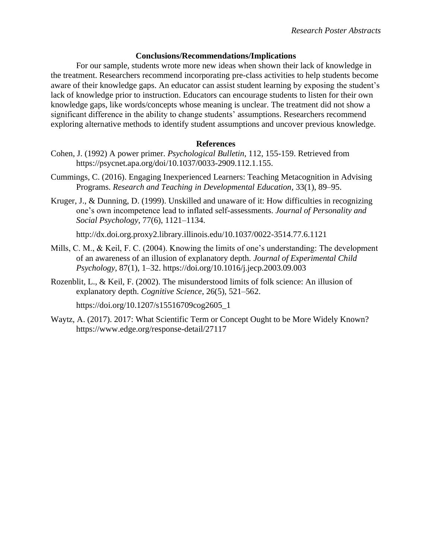### **Conclusions/Recommendations/Implications**

For our sample, students wrote more new ideas when shown their lack of knowledge in the treatment. Researchers recommend incorporating pre-class activities to help students become aware of their knowledge gaps. An educator can assist student learning by exposing the student's lack of knowledge prior to instruction. Educators can encourage students to listen for their own knowledge gaps, like words/concepts whose meaning is unclear. The treatment did not show a significant difference in the ability to change students' assumptions. Researchers recommend exploring alternative methods to identify student assumptions and uncover previous knowledge.

## **References**

- Cohen, J. (1992) A power primer. *Psychological Bulletin*, 112, 155-159. Retrieved from https://psycnet.apa.org/doi/10.1037/0033-2909.112.1.155.
- Cummings, C. (2016). Engaging Inexperienced Learners: Teaching Metacognition in Advising Programs. *Research and Teaching in Developmental Education*, 33(1), 89–95.
- Kruger, J., & Dunning, D. (1999). Unskilled and unaware of it: How difficulties in recognizing one's own incompetence lead to inflated self-assessments. *Journal of Personality and Social Psychology*, 77(6), 1121–1134.

http://dx.doi.org.proxy2.library.illinois.edu/10.1037/0022-3514.77.6.1121

- Mills, C. M., & Keil, F. C. (2004). Knowing the limits of one's understanding: The development of an awareness of an illusion of explanatory depth. *Journal of Experimental Child Psychology*, 87(1), 1–32. https://doi.org/10.1016/j.jecp.2003.09.003
- Rozenblit, L., & Keil, F. (2002). The misunderstood limits of folk science: An illusion of explanatory depth. *Cognitive Science*, 26(5), 521–562.

https://doi.org/10.1207/s15516709cog2605\_1

Waytz, A. (2017). 2017: What Scientific Term or Concept Ought to be More Widely Known? https://www.edge.org/response-detail/27117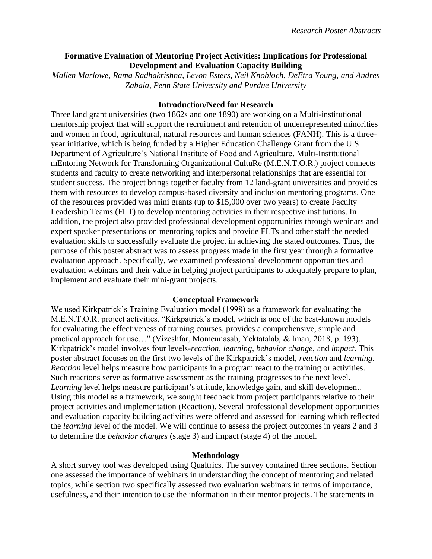## <span id="page-27-0"></span>**Formative Evaluation of Mentoring Project Activities: Implications for Professional Development and Evaluation Capacity Building**

*Mallen Marlowe, Rama Radhakrishna, Levon Esters, Neil Knobloch, DeEtra Young, and Andres Zabala, Penn State University and Purdue University*

### **Introduction/Need for Research**

Three land grant universities (two 1862s and one 1890) are working on a Multi-institutional mentorship project that will support the recruitment and retention of underrepresented minorities and women in food, agricultural, natural resources and human sciences (FANH). This is a threeyear initiative, which is being funded by a Higher Education Challenge Grant from the U.S. Department of Agriculture's National Institute of Food and Agriculture**.** Multi-Institutional mEntoring Network for Transforming Organizational CultuRe (M.E.N.T.O.R.) project connects students and faculty to create networking and interpersonal relationships that are essential for student success. The project brings together faculty from 12 land-grant universities and provides them with resources to develop campus-based diversity and inclusion mentoring programs. One of the resources provided was mini grants (up to \$15,000 over two years) to create Faculty Leadership Teams (FLT) to develop mentoring activities in their respective institutions. In addition, the project also provided professional development opportunities through webinars and expert speaker presentations on mentoring topics and provide FLTs and other staff the needed evaluation skills to successfully evaluate the project in achieving the stated outcomes. Thus, the purpose of this poster abstract was to assess progress made in the first year through a formative evaluation approach. Specifically, we examined professional development opportunities and evaluation webinars and their value in helping project participants to adequately prepare to plan, implement and evaluate their mini-grant projects.

#### **Conceptual Framework**

We used Kirkpatrick's Training Evaluation model (1998) as a framework for evaluating the M.E.N.T.O.R. project activities. "Kirkpatrick's model, which is one of the best-known models for evaluating the effectiveness of training courses, provides a comprehensive, simple and practical approach for use…" (Vizeshfar, Momennasab, Yektatalab, & Iman, 2018, p. 193). Kirkpatrick's model involves four levels-*reaction, learning, behavior change,* and *impact*. This poster abstract focuses on the first two levels of the Kirkpatrick's model, *reaction* and *learning*. *Reaction* level helps measure how participants in a program react to the training or activities. Such reactions serve as formative assessment as the training progresses to the next level. *Learning* level helps measure participant's attitude, knowledge gain, and skill development. Using this model as a framework, we sought feedback from project participants relative to their project activities and implementation (Reaction). Several professional development opportunities and evaluation capacity building activities were offered and assessed for learning which reflected the *learning* level of the model. We will continue to assess the project outcomes in years 2 and 3 to determine the *behavior changes* (stage 3) and impact (stage 4) of the model.

### **Methodology**

A short survey tool was developed using Qualtrics. The survey contained three sections. Section one assessed the importance of webinars in understanding the concept of mentoring and related topics, while section two specifically assessed two evaluation webinars in terms of importance, usefulness, and their intention to use the information in their mentor projects. The statements in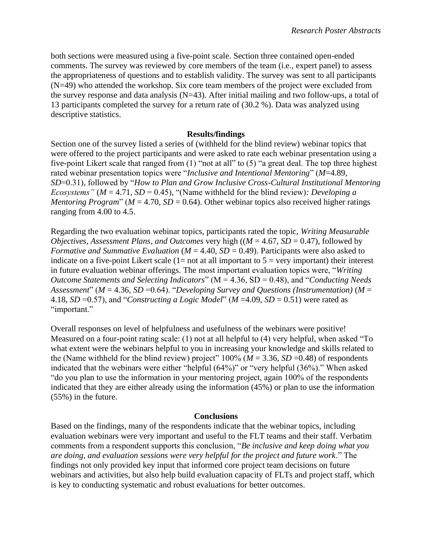both sections were measured using a five-point scale. Section three contained open-ended comments. The survey was reviewed by core members of the team (i.e., expert panel) to assess the appropriateness of questions and to establish validity. The survey was sent to all participants (N=49) who attended the workshop. Six core team members of the project were excluded from the survey response and data analysis ( $N=43$ ). After initial mailing and two follow-ups, a total of 13 participants completed the survey for a return rate of (30.2 %). Data was analyzed using descriptive statistics.

## **Results/findings**

Section one of the survey listed a series of (withheld for the blind review) webinar topics that were offered to the project participants and were asked to rate each webinar presentation using a five-point Likert scale that ranged from (1) "not at all" to (5) "a great deal. The top three highest rated webinar presentation topics were "*Inclusive and Intentional Mentoring*" (*M*=4.89, *SD*=0.31), followed by "*How to Plan and Grow Inclusive Cross-Cultural Institutional Mentoring Ecosystems" (* $M = 4.71$ *, SD = 0.45), "(Name withheld for the blind review): Developing a Mentoring Program*" ( $M = 4.70$ ,  $SD = 0.64$ ). Other webinar topics also received higher ratings ranging from 4.00 to 4.5.

Regarding the two evaluation webinar topics, participants rated the topic, *Writing Measurable Objectives, Assessment Plans, and Outcomes very high (* $(M = 4.67, SD = 0.47)$ *), followed by Formative and Summative Evaluation (M = 4.40, SD = 0.49). Participants were also asked to* indicate on a five-point Likert scale  $(1=$  not at all important to  $5 =$  very important) their interest in future evaluation webinar offerings. The most important evaluation topics were, "*Writing Outcome Statements and Selecting Indicators*" (M = 4.36, SD = 0.48), and "*Conducting Needs Assessment*" ( $M = 4.36$ ,  $SD = 0.64$ ). "*Developing Survey and Questions (Instrumentation)* ( $M =$ 4.18,  $SD = 0.57$ ), and "*Constructing a Logic Model*" ( $M = 4.09$ ,  $SD = 0.51$ ) were rated as "important."

Overall responses on level of helpfulness and usefulness of the webinars were positive! Measured on a four-point rating scale: (1) not at all helpful to (4) very helpful, when asked "To what extent were the webinars helpful to you in increasing your knowledge and skills related to the (Name withheld for the blind review) project"  $100\%$  ( $M = 3.36$ ,  $SD = 0.48$ ) of respondents indicated that the webinars were either "helpful (64%)" or "very helpful (36%)." When asked "do you plan to use the information in your mentoring project, again 100% of the respondents indicated that they are either already using the information (45%) or plan to use the information (55%) in the future.

#### **Conclusions**

Based on the findings, many of the respondents indicate that the webinar topics, including evaluation webinars were very important and useful to the FLT teams and their staff. Verbatim comments from a respondent supports this conclusion, "*Be inclusive and keep doing what you are doing, and evaluation sessions were very helpful for the project and future work*." The findings not only provided key input that informed core project team decisions on future webinars and activities, but also help build evaluation capacity of FLTs and project staff, which is key to conducting systematic and robust evaluations for better outcomes.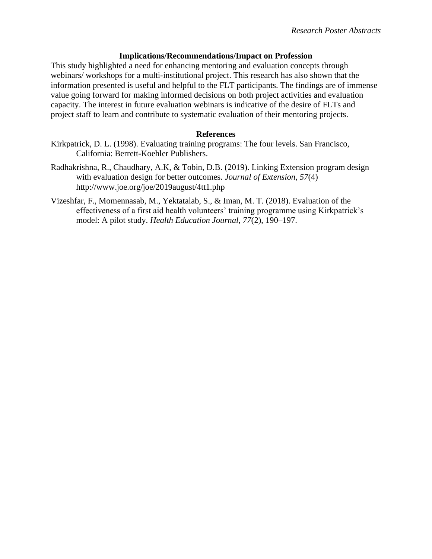#### **Implications/Recommendations/Impact on Profession**

This study highlighted a need for enhancing mentoring and evaluation concepts through webinars/ workshops for a multi-institutional project. This research has also shown that the information presented is useful and helpful to the FLT participants. The findings are of immense value going forward for making informed decisions on both project activities and evaluation capacity. The interest in future evaluation webinars is indicative of the desire of FLTs and project staff to learn and contribute to systematic evaluation of their mentoring projects.

### **References**

- Kirkpatrick, D. L. (1998). Evaluating training programs: The four levels. San Francisco, California: Berrett-Koehler Publishers.
- Radhakrishna, R., Chaudhary, A.K, & Tobin, D.B. (2019). Linking Extension program design with evaluation design for better outcomes. *Journal of Extension*, *57*(4) http://www.joe.org/joe/2019august/4tt1.php
- Vizeshfar, F., Momennasab, M., Yektatalab, S., & Iman, M. T. (2018). Evaluation of the effectiveness of a first aid health volunteers' training programme using Kirkpatrick's model: A pilot study. *Health Education Journal*, *77*(2), 190–197.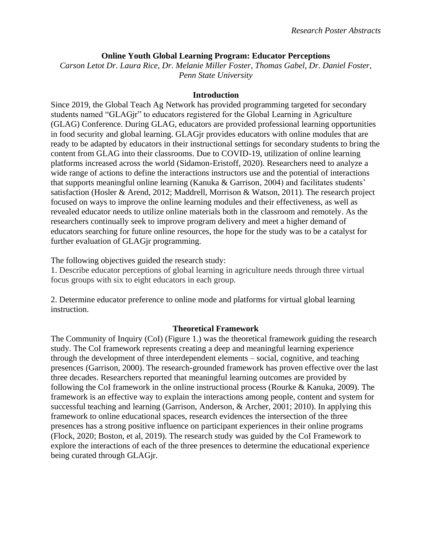## **Online Youth Global Learning Program: Educator Perceptions**

*Carson Letot Dr. Laura Rice, Dr. Melanie Miller Foster, Thomas Gabel, Dr. Daniel Foster, Penn State University*

## **Introduction**

Since 2019, the Global Teach Ag Network has provided programming targeted for secondary students named "GLAGjr" to educators registered for the Global Learning in Agriculture (GLAG) Conference. During GLAG, educators are provided professional learning opportunities in food security and global learning. GLAGjr provides educators with online modules that are ready to be adapted by educators in their instructional settings for secondary students to bring the content from GLAG into their classrooms. Due to COVID-19, utilization of online learning platforms increased across the world (Sidamon-Eristoff, 2020). Researchers need to analyze a wide range of actions to define the interactions instructors use and the potential of interactions that supports meaningful online learning (Kanuka & Garrison, 2004) and facilitates students' satisfaction (Hosler & Arend, 2012; Maddrell, Morrison & Watson, 2011). The research project focused on ways to improve the online learning modules and their effectiveness, as well as revealed educator needs to utilize online materials both in the classroom and remotely. As the researchers continually seek to improve program delivery and meet a higher demand of educators searching for future online resources, the hope for the study was to be a catalyst for further evaluation of GLAGjr programming.

The following objectives guided the research study:

1. Describe educator perceptions of global learning in agriculture needs through three virtual focus groups with six to eight educators in each group.

2. Determine educator preference to online mode and platforms for virtual global learning instruction.

## **Theoretical Framework**

The Community of Inquiry (CoI) (Figure 1.) was the theoretical framework guiding the research study. The CoI framework represents creating a deep and meaningful learning experience through the development of three interdependent elements – social, cognitive, and teaching presences (Garrison, 2000). The research-grounded framework has proven effective over the last three decades. Researchers reported that meaningful learning outcomes are provided by following the CoI framework in the online instructional process (Rourke & Kanuka, 2009). The framework is an effective way to explain the interactions among people, content and system for successful teaching and learning (Garrison, Anderson, & Archer, 2001; 2010). In applying this framework to online educational spaces, research evidences the intersection of the three presences has a strong positive influence on participant experiences in their online programs (Flock, 2020; Boston, et al, 2019). The research study was guided by the CoI Framework to explore the interactions of each of the three presences to determine the educational experience being curated through GLAGjr.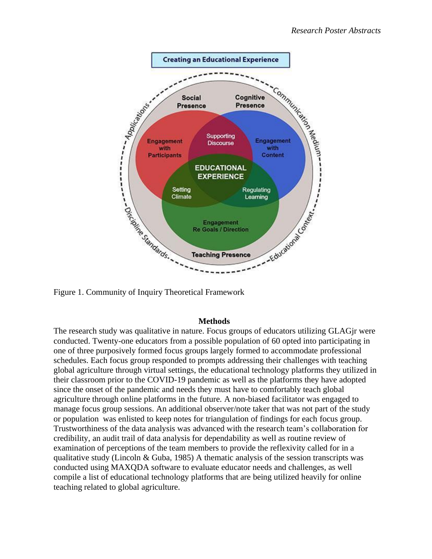

## **Methods**

The research study was qualitative in nature. Focus groups of educators utilizing GLAGjr were conducted. Twenty-one educators from a possible population of 60 opted into participating in one of three purposively formed focus groups largely formed to accommodate professional schedules. Each focus group responded to prompts addressing their challenges with teaching global agriculture through virtual settings, the educational technology platforms they utilized in their classroom prior to the COVID-19 pandemic as well as the platforms they have adopted since the onset of the pandemic and needs they must have to comfortably teach global agriculture through online platforms in the future. A non-biased facilitator was engaged to manage focus group sessions. An additional observer/note taker that was not part of the study or population was enlisted to keep notes for triangulation of findings for each focus group. Trustworthiness of the data analysis was advanced with the research team's collaboration for credibility, an audit trail of data analysis for dependability as well as routine review of examination of perceptions of the team members to provide the reflexivity called for in a qualitative study (Lincoln & Guba, 1985) A thematic analysis of the session transcripts was conducted using MAXQDA software to evaluate educator needs and challenges, as well compile a list of educational technology platforms that are being utilized heavily for online teaching related to global agriculture.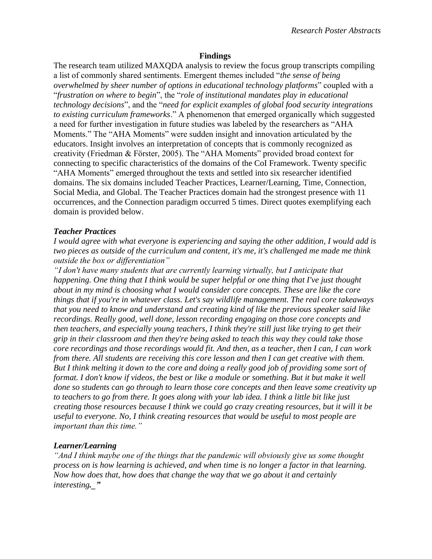#### **Findings**

The research team utilized MAXQDA analysis to review the focus group transcripts compiling a list of commonly shared sentiments. Emergent themes included "*the sense of being overwhelmed by sheer number of options in educational technology platforms*" coupled with a "*frustration on where to begin*", the "*role of institutional mandates play in educational technology decisions*", and the "*need for explicit examples of global food security integrations to existing curriculum frameworks*." A phenomenon that emerged organically which suggested a need for further investigation in future studies was labeled by the researchers as "AHA Moments." The "AHA Moments" were sudden insight and innovation articulated by the educators. Insight involves an interpretation of concepts that is commonly recognized as creativity (Friedman & Förster, 2005). The "AHA Moments" provided broad context for connecting to specific characteristics of the domains of the CoI Framework. Twenty specific "AHA Moments" emerged throughout the texts and settled into six researcher identified domains. The six domains included Teacher Practices, Learner/Learning, Time, Connection, Social Media, and Global. The Teacher Practices domain had the strongest presence with 11 occurrences, and the Connection paradigm occurred 5 times. Direct quotes exemplifying each domain is provided below.

#### *Teacher Practices*

*I would agree with what everyone is experiencing and saying the other addition, I would add is two pieces as outside of the curriculum and content, it's me, it's challenged me made me think outside the box or differentiation"* 

*"I don't have many students that are currently learning virtually, but I anticipate that happening. One thing that I think would be super helpful or one thing that I've just thought about in my mind is choosing what I would consider core concepts. These are like the core things that if you're in whatever class. Let's say wildlife management. The real core takeaways that you need to know and understand and creating kind of like the previous speaker said like recordings. Really good, well done, lesson recording engaging on those core concepts and then teachers, and especially young teachers, I think they're still just like trying to get their grip in their classroom and then they're being asked to teach this way they could take those core recordings and those recordings would fit. And then, as a teacher, then I can, I can work from there. All students are receiving this core lesson and then I can get creative with them. But I think melting it down to the core and doing a really good job of providing some sort of format. I don't know if videos, the best or like a module or something. But it but make it well done so students can go through to learn those core concepts and then leave some creativity up to teachers to go from there. It goes along with your lab idea. I think a little bit like just creating those resources because I think we could go crazy creating resources, but it will it be useful to everyone. No, I think creating resources that would be useful to most people are important than this time."* 

#### *Learner/Learning*

*"And I think maybe one of the things that the pandemic will obviously give us some thought process on is how learning is achieved, and when time is no longer a factor in that learning. Now how does that, how does that change the way that we go about it and certainly interesting.\_"*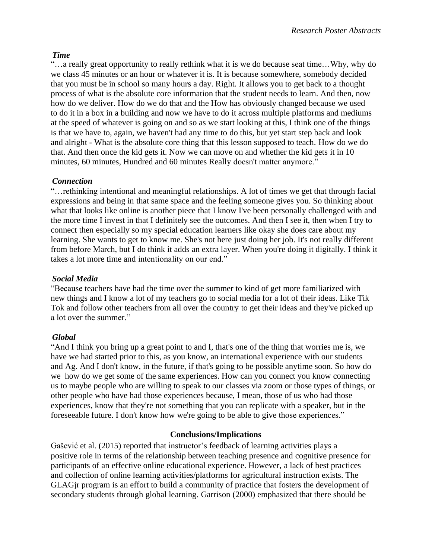## *Time*

"…a really great opportunity to really rethink what it is we do because seat time…Why, why do we class 45 minutes or an hour or whatever it is. It is because somewhere, somebody decided that you must be in school so many hours a day. Right. It allows you to get back to a thought process of what is the absolute core information that the student needs to learn. And then, now how do we deliver. How do we do that and the How has obviously changed because we used to do it in a box in a building and now we have to do it across multiple platforms and mediums at the speed of whatever is going on and so as we start looking at this, I think one of the things is that we have to, again, we haven't had any time to do this, but yet start step back and look and alright - What is the absolute core thing that this lesson supposed to teach. How do we do that. And then once the kid gets it. Now we can move on and whether the kid gets it in 10 minutes, 60 minutes, Hundred and 60 minutes Really doesn't matter anymore."

## *Connection*

"…rethinking intentional and meaningful relationships. A lot of times we get that through facial expressions and being in that same space and the feeling someone gives you. So thinking about what that looks like online is another piece that I know I've been personally challenged with and the more time I invest in that I definitely see the outcomes. And then I see it, then when I try to connect then especially so my special education learners like okay she does care about my learning. She wants to get to know me. She's not here just doing her job. It's not really different from before March, but I do think it adds an extra layer. When you're doing it digitally. I think it takes a lot more time and intentionality on our end."

## *Social Media*

"Because teachers have had the time over the summer to kind of get more familiarized with new things and I know a lot of my teachers go to social media for a lot of their ideas. Like Tik Tok and follow other teachers from all over the country to get their ideas and they've picked up a lot over the summer."

## *Global*

"And I think you bring up a great point to and I, that's one of the thing that worries me is, we have we had started prior to this, as you know, an international experience with our students and Ag. And I don't know, in the future, if that's going to be possible anytime soon. So how do we how do we get some of the same experiences. How can you connect you know connecting us to maybe people who are willing to speak to our classes via zoom or those types of things, or other people who have had those experiences because, I mean, those of us who had those experiences, know that they're not something that you can replicate with a speaker, but in the foreseeable future. I don't know how we're going to be able to give those experiences."

## **Conclusions/Implications**

Gašević et al. (2015) reported that instructor's feedback of learning activities plays a positive role in terms of the relationship between teaching presence and cognitive presence for participants of an effective online educational experience. However, a lack of best practices and collection of online learning activities/platforms for agricultural instruction exists. The GLAGjr program is an effort to build a community of practice that fosters the development of secondary students through global learning. Garrison (2000) emphasized that there should be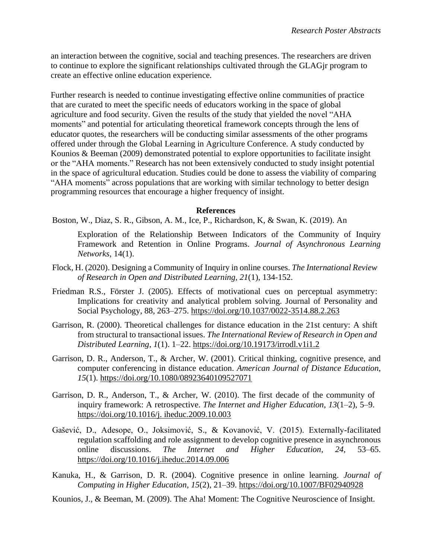an interaction between the cognitive, social and teaching presences. The researchers are driven to continue to explore the significant relationships cultivated through the GLAGjr program to create an effective online education experience.

Further research is needed to continue investigating effective online communities of practice that are curated to meet the specific needs of educators working in the space of global agriculture and food security. Given the results of the study that yielded the novel "AHA moments" and potential for articulating theoretical framework concepts through the lens of educator quotes, the researchers will be conducting similar assessments of the other programs offered under through the Global Learning in Agriculture Conference. A study conducted by Kounios & Beeman (2009) demonstrated potential to explore opportunities to facilitate insight or the "AHA moments." Research has not been extensively conducted to study insight potential in the space of agricultural education. Studies could be done to assess the viability of comparing "AHA moments" across populations that are working with similar technology to better design programming resources that encourage a higher frequency of insight.

### **References**

Boston, W., Diaz, S. R., Gibson, A. M., Ice, P., Richardson, K, & Swan, K. (2019). An

Exploration of the Relationship Between Indicators of the Community of Inquiry Framework and Retention in Online Programs. *Journal of Asynchronous Learning Networks*, 14(1).

- Flock, H. (2020). Designing a Community of Inquiry in online courses. *The International Review of Research in Open and Distributed Learning, 21*(1), 134-152.
- Friedman R.S., Förster J. (2005). Effects of motivational cues on perceptual asymmetry: Implications for creativity and analytical problem solving. Journal of Personality and Social Psychology, 88, 263–275. [https://doi.org/10.1037/0022-3514.88.2.263](https://psycnet.apa.org/doi/10.1037/0022-3514.88.2.263)
- Garrison, R. (2000). Theoretical challenges for distance education in the 21st century: A shift from structural to transactional issues. *The International Review of Research in Open and Distributed Learning*, *1*(1). 1–22.<https://doi.org/10.19173/irrodl.v1i1.2>
- Garrison, D. R., Anderson, T., & Archer, W. (2001). Critical thinking, cognitive presence, and computer conferencing in distance education. *American Journal of Distance Education*, *15*(1).<https://doi.org/10.1080/08923640109527071>
- Garrison, D. R., Anderson, T., & Archer, W. (2010). The first decade of the community of inquiry framework: A retrospective. *The Internet and Higher Education*, *13*(1–2), 5–9. [https://doi.org/10.1016/j.](https://doi.org/10.1016/j.%20iheduc.2009.10.003) iheduc.2009.10.003
- Gašević, D., Adesope, O., Joksimović, S., & Kovanović, V. (2015). Externally-facilitated regulation scaffolding and role assignment to develop cognitive presence in asynchronous online discussions. *The Internet and Higher Education*, *24*, 53–65. <https://doi.org/10.1016/j.iheduc.2014.09.006>
- Kanuka, H., & Garrison, D. R. (2004). Cognitive presence in online learning. *Journal of Computing in Higher Education*, *15*(2), 21–39.<https://doi.org/10.1007/BF02940928>
- Kounios, J., & Beeman, M. (2009). The Aha! Moment: The Cognitive Neuroscience of Insight.